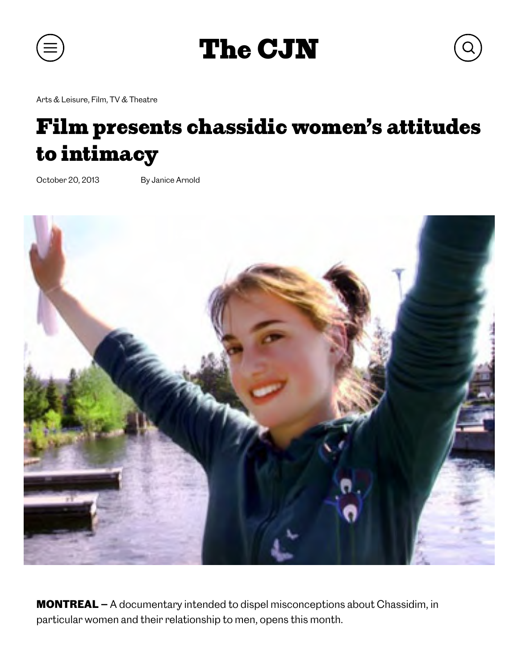

The CJN

Arts & Leisure, Film, TV & Theatre

## Film presents chassidic women's attitudes to intimacy

October 20, 2013 By Janice Arnold



MONTREAL — A documentary intended to dispel misconceptions about Chassidim, in particular women and their relationship to men, opens this month.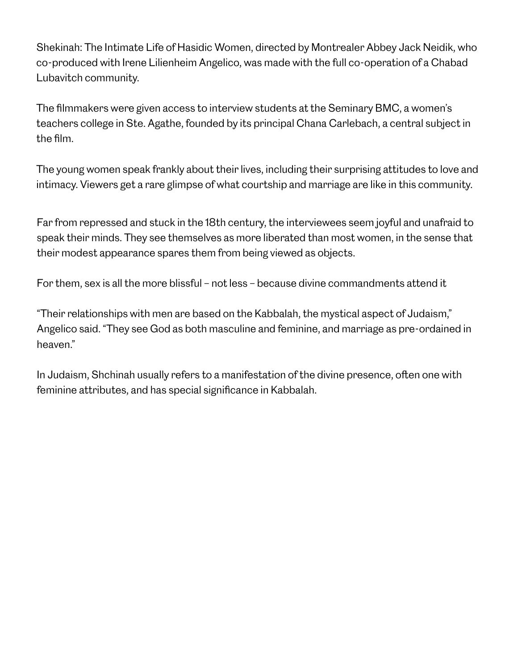Shekinah: The Intimate Life of Hasidic Women, directed by Montrealer Abbey Jack Neidik, who co-produced with Irene Lilienheim Angelico, was made with the full co-operation of a Chabad Lubavitch community.

The filmmakers were given access to interview students at the Seminary BMC, a women's teachers college in Ste. Agathe, founded by its principal Chana Carlebach, a central subject in the film.

The young women speak frankly about their lives, including their surprising attitudes to love and intimacy. Viewers get a rare glimpse of what courtship and marriage are like in this community.

Far from repressed and stuck in the 18th century, the interviewees seem joyful and unafraid to speak their minds. They see themselves as more liberated than most women, in the sense that their modest appearance spares them from being viewed as objects.

For them, sex is all the more blissful – not less – because divine commandments attend it

"Their relationships with men are based on the Kabbalah, the mystical aspect of Judaism," Angelico said. "They see God as both masculine and feminine, and marriage as pre-ordained in heaven."

In Judaism, Shchinah usually refers to a manifestation of the divine presence, often one with feminine attributes, and has special significance in Kabbalah.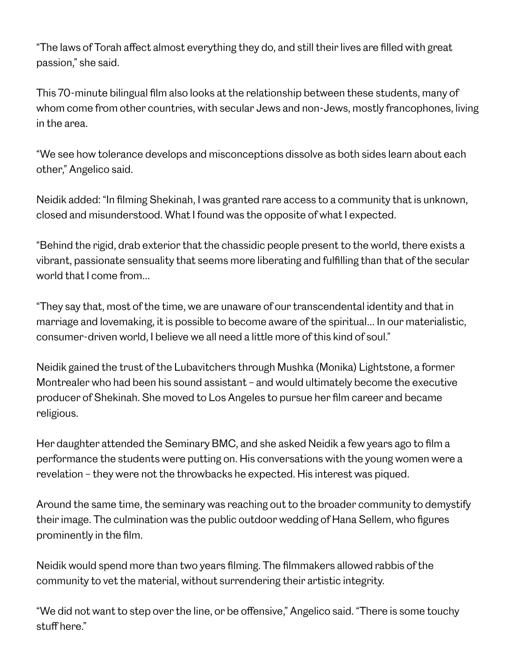"The laws of Torah affect almost everything they do, and still their lives are filled with great passion," she said.

This 70-minute bilingual film also looks at the relationship between these students, many of whom come from other countries, with secular Jews and non-Jews, mostly francophones, living in the area.

"We see how tolerance develops and misconceptions dissolve as both sides learn about each other," Angelico said.

Neidik added: "In filming Shekinah, I was granted rare access to a community that is unknown, closed and misunderstood. What I found was the opposite of what I expected.

"Behind the rigid, drab exterior that the chassidic people present to the world, there exists a vibrant, passionate sensuality that seems more liberating and fulfilling than that of the secular world that I come from…

"They say that, most of the time, we are unaware of our transcendental identity and that in marriage and lovemaking, it is possible to become aware of the spiritual… In our materialistic, consumer-driven world, I believe we all need a little more of this kind of soul."

Neidik gained the trust of the Lubavitchers through Mushka (Monika) Lightstone, a former Montrealer who had been his sound assistant – and would ultimately become the executive producer of Shekinah. She moved to Los Angeles to pursue her film career and became religious.

Her daughter attended the Seminary BMC, and she asked Neidik a few years ago to film a performance the students were putting on. His conversations with the young women were a revelation – they were not the throwbacks he expected. His interest was piqued.

Around the same time, the seminary was reaching out to the broader community to demystify their image. The culmination was the public outdoor wedding of Hana Sellem, who figures prominently in the film.

Neidik would spend more than two years filming. The filmmakers allowed rabbis of the community to vet the material, without surrendering their artistic integrity.

"We did not want to step over the line, or be offensive," Angelico said. "There is some touchy stuff here."